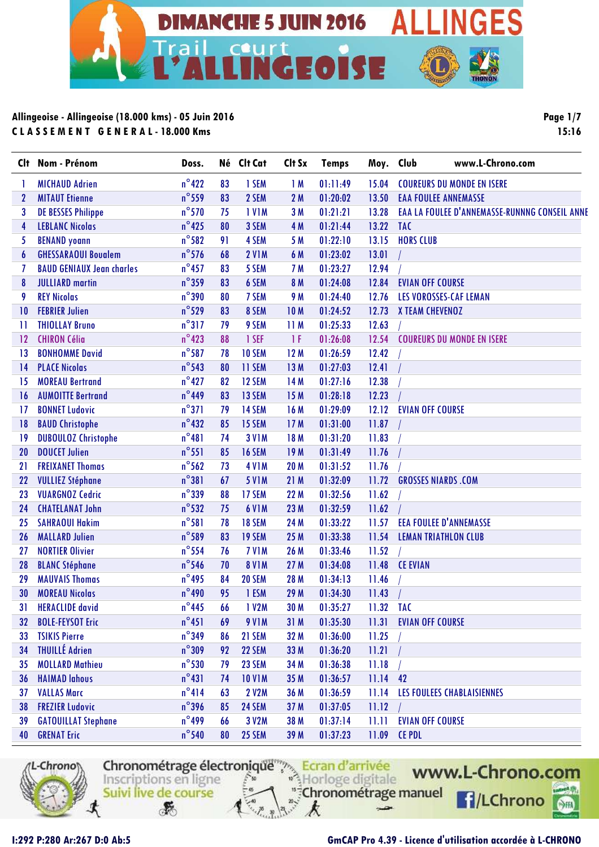

**Page 1/7 15:16**

| <b>C</b> lt | Nom - Prénom                     | Doss.           |    | Né Clt Cat         | Clt Sx      | <b>Temps</b> | Moy. Club | www.L-Chrono.com                              |
|-------------|----------------------------------|-----------------|----|--------------------|-------------|--------------|-----------|-----------------------------------------------|
|             | <b>MICHAUD Adrien</b>            | $n^{\circ}422$  | 83 | 1 SEM              | 1M          | 01:11:49     | 15.04     | <b>COUREURS DU MONDE EN ISERE</b>             |
| 2           | <b>MITAUT Etienne</b>            | $n^{\circ}$ 559 | 83 | 2 SEM              | 2M          | 01:20:02     | 13.50     | <b>EAA FOULEE ANNEMASSE</b>                   |
| 3           | <b>DE BESSES Philippe</b>        | $n^{\circ}$ 570 | 75 | <b>IVIM</b>        | 3M          | 01:21:21     | 13.28     | EAA LA FOULEE D'ANNEMASSE-RUNNNG CONSEIL ANNE |
| 4           | <b>LEBLANC Nicolas</b>           | $n^{\circ}$ 425 | 80 | 3 SEM              | 4 M         | 01:21:44     | 13.22     | <b>TAC</b>                                    |
| 5           | <b>BENAND younn</b>              | $n^{\circ}$ 582 | 91 | 4 SEM              | 5 M         | 01:22:10     | 13.15     | <b>HORS CLUB</b>                              |
| 6           | <b>GHESSARAOUI Bouglem</b>       | $n^{\circ}$ 576 | 68 | <b>2 V1M</b>       | 6 M         | 01:23:02     | 13.01     |                                               |
| 7           | <b>BAUD GENIAUX Jean charles</b> | $n^{\circ}$ 457 | 83 | 5 SEM              | 7 M         | 01:23:27     | 12.94     |                                               |
| 8           | <b>JULLIARD</b> martin           | $n^{\circ}$ 359 | 83 | 6 SEM              | 8 M         | 01:24:08     | 12.84     | <b>EVIAN OFF COURSE</b>                       |
| 9           | <b>REY Nicolas</b>               | $n^{\circ}$ 390 | 80 | 7 SEM              | 9 M         | 01:24:40     | 12.76     | <b>LES VOROSSES-CAF LEMAN</b>                 |
| 10          | <b>FEBRIER Julien</b>            | $n^{\circ}$ 529 | 83 | 8 SEM              | <b>10M</b>  | 01:24:52     | 12.73     | X TEAM CHEVENOZ                               |
| 11          | <b>THIOLLAY Bruno</b>            | $n^{\circ}317$  | 79 | 9 SEM              | 11 M        | 01:25:33     | 12.63     |                                               |
| 12          | <b>CHIRON Célia</b>              | $n^{\circ}423$  | 88 | 1 SEF              | 1F          | 01:26:08     | 12.54     | <b>COUREURS DU MONDE EN ISERE</b>             |
| 13          | <b>BONHOMME David</b>            | $n^{\circ}$ 587 | 78 | 10 SEM             | 12M         | 01:26:59     | 12.42     |                                               |
| 14          | <b>PLACE Nicolas</b>             | $n^{\circ}$ 543 | 80 | 11 SEM             | 13 M        | 01:27:03     | 12.41     |                                               |
| 15          | <b>MOREAU Bertrand</b>           | $n^{\circ}427$  | 82 | 12 SEM             | 14 M        | 01:27:16     | 12.38     |                                               |
| 16          | <b>AUMOITTE Bertrand</b>         | $n^{\circ}449$  | 83 | 13 SEM             | 15 M        | 01:28:18     | 12.23     |                                               |
| 17          | <b>BONNET Ludovic</b>            | $n^{\circ}371$  | 79 | 14 SEM             | 16 M        | 01:29:09     | 12.12     | <b>EVIAN OFF COURSE</b>                       |
| 18          | <b>BAUD Christophe</b>           | $n^{\circ}432$  | 85 | 15 SEM             | 17M         | 01:31:00     | 11.87     |                                               |
| 19          | <b>DUBOULOZ Christophe</b>       | $n^{\circ}481$  | 74 | <b>3 V1M</b>       | 18 M        | 01:31:20     | 11.83     |                                               |
| 20          | <b>DOUCET Julien</b>             | $n^{\circ}$ 551 | 85 | <b>16 SEM</b>      | 19 M        | 01:31:49     | 11.76     |                                               |
| 21          | <b>FREIXANET Thomas</b>          | $n^{\circ}$ 562 | 73 | <b>4 V1M</b>       | <b>20 M</b> | 01:31:52     | 11.76     |                                               |
| 22          | <b>VULLIEZ Stéphane</b>          | $n^{\circ}381$  | 67 | <b>5 V1M</b>       | 21 M        | 01:32:09     | 11.72     | <b>GROSSES NIARDS .COM</b>                    |
| 23          | <b>VUARGNOZ Cedric</b>           | $n^{\circ}$ 339 | 88 | 17 SEM             | <b>22 M</b> | 01:32:56     | 11.62     |                                               |
| 24          | <b>CHATELANAT John</b>           | $n^{\circ}$ 532 | 75 | <b>6 V1M</b>       | 23 M        | 01:32:59     | 11.62     |                                               |
| 25          | <b>SAHRAOUI Hakim</b>            | $n^{\circ}581$  | 78 | <b>18 SEM</b>      | 24 M        | 01:33:22     | 11.57     | <b>EEA FOULEE D'ANNEMASSE</b>                 |
| 26          | <b>MALLARD Julien</b>            | $n^{\circ}$ 589 | 83 | <b>19 SEM</b>      | 25 M        | 01:33:38     | 11.54     | <b>LEMAN TRIATHLON CLUB</b>                   |
| 27          | <b>NORTIER Olivier</b>           | $n^{\circ}$ 554 | 76 | <b>7 V1M</b>       | 26 M        | 01:33:46     | 11.52     |                                               |
| 28          | <b>BLANC Stéphane</b>            | $n^{\circ}$ 546 | 70 | <b>8 V1M</b>       | 27 M        | 01:34:08     | 11.48     | <b>CE EVIAN</b>                               |
| 29          | <b>MAUVAIS Thomas</b>            | $n^{\circ}$ 495 | 84 | <b>20 SEM</b>      | 28 M        | 01:34:13     | 11.46     |                                               |
| 30          | <b>MOREAU Nicolas</b>            | $n^{\circ}$ 490 | 95 | 1 ESM              | 29 M        | 01:34:30     | 11.43     |                                               |
| 31          | <b>HERACLIDE</b> david           | $n^{\circ}$ 445 | 66 | 1 V <sub>2</sub> M | 30 M        | 01:35:27     | 11.32 TAC |                                               |
| 32          | <b>BOLE-FEYSOT Eric</b>          | $n^{\circ}451$  | 69 | <b>9 V1M</b>       | 31 M        | 01:35:30     | 11.31     | <b>EVIAN OFF COURSE</b>                       |
| 33          | <b>TSIKIS Pierre</b>             | $n^{\circ}$ 349 | 86 | 21 SEM             | 32 M        | 01:36:00     | 11.25     |                                               |
| 34          | <b>THUILLÉ Adrien</b>            | $n^{\circ}309$  | 92 | 22 SEM             | 33 M        | 01:36:20     | 11.21     |                                               |
| 35          | <b>MOLLARD Mathieu</b>           | $n^{\circ}$ 530 | 79 | 23 SEM             | 34 M        | 01:36:38     | 11.18     |                                               |
| 36          | <b>HAIMAD lahous</b>             | $n^{\circ}431$  | 74 | <b>10 V1M</b>      | 35 M        | 01:36:57     | 11.14     | 42                                            |
| 37          | <b>VALLAS Marc</b>               | $n^{\circ}414$  | 63 | <b>2 V2M</b>       | 36 M        | 01:36:59     | 11.14     | LES FOULEES CHABLAISIENNES                    |
| 38          | <b>FREZIER Ludovic</b>           | $n^{\circ}$ 396 | 85 | 24 SEM             | 37 M        | 01:37:05     | 11.12     |                                               |
| 39          | <b>GATOUILLAT Stephane</b>       | $n^{\circ}$ 499 | 66 | 3 V2M              | 38 M        | 01:37:14     | 11.11     | <b>EVIAN OFF COURSE</b>                       |
| 40          | <b>GRENAT Eric</b>               | $n^{\circ}$ 540 | 80 | <b>25 SEM</b>      | 39 M        | 01:37:23     | 11.09     | <b>CE PDL</b>                                 |



Chronométrage électronique<sup>ment</sup> Ecran d'arrivée www.L-Chrono.com "<sup>#</sup>Chronométrage manuel Suivi live de course **f**/LChrono  $\mathcal{F}$ k  $-2$ 

#### **I:292 P:280 Ar:267 D:0 Ab:5 GmCAP Pro 4.39 - Licence d'utilisation accordée à L-CHRONO**

 $rac{1}{\sqrt{2}}$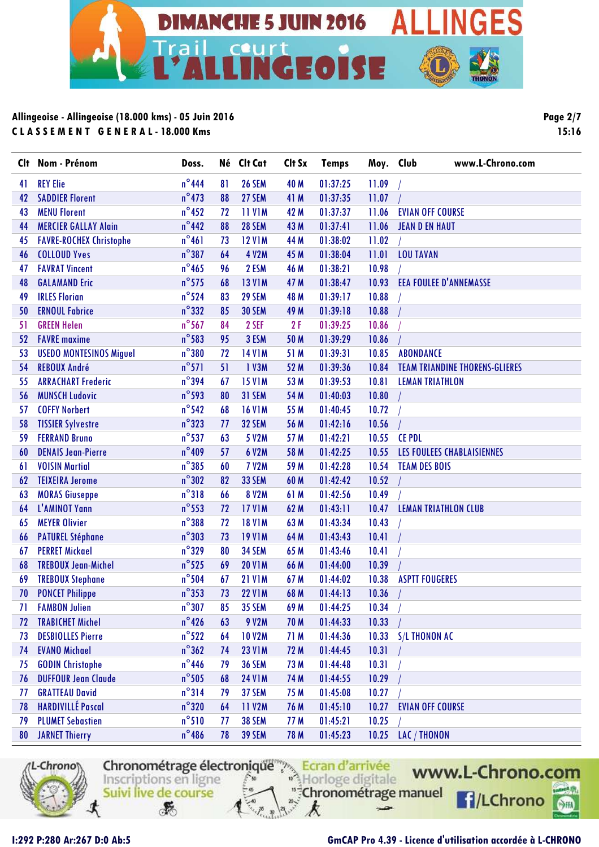

**Page 2/7 15:16**

| Clt | Nom - Prénom                   | Doss.           | Né | Clt Cat       | Clt Sx | <b>Temps</b> | Moy. Club | www.L-Chrono.com                      |
|-----|--------------------------------|-----------------|----|---------------|--------|--------------|-----------|---------------------------------------|
| 41  | <b>REY Elie</b>                | $n^{\circ}$ 444 | 81 | <b>26 SEM</b> | 40 M   | 01:37:25     | 11.09     |                                       |
| 42  | <b>SADDIER Florent</b>         | $n^{\circ}$ 473 | 88 | 27 SEM        | 41 M   | 01:37:35     | 11.07     |                                       |
| 43  | <b>MENU Florent</b>            | $n^{\circ}$ 452 | 72 | <b>11 V1M</b> | 42 M   | 01:37:37     | 11.06     | <b>EVIAN OFF COURSE</b>               |
| 44  | <b>MERCIER GALLAY Alain</b>    | $n^{\circ}$ 442 | 88 | 28 SEM        | 43 M   | 01:37:41     | 11.06     | <b>JEAN D EN HAUT</b>                 |
| 45  | <b>FAVRE-ROCHEX Christophe</b> | $n^{\circ}461$  | 73 | <b>12 V1M</b> | 44 M   | 01:38:02     | 11.02     |                                       |
| 46  | <b>COLLOUD Yves</b>            | $n^{\circ}387$  | 64 | <b>4 V2M</b>  | 45 M   | 01:38:04     | 11.01     | <b>LOU TAVAN</b>                      |
| 47  | <b>FAVRAT Vincent</b>          | $n^{\circ}$ 465 | 96 | 2 ESM         | 46 M   | 01:38:21     | 10.98     |                                       |
| 48  | <b>GALAMAND Eric</b>           | $n^{\circ}$ 575 | 68 | <b>13 V1M</b> | 47 M   | 01:38:47     | 10.93     | <b>EEA FOULEE D'ANNEMASSE</b>         |
| 49  | <b>IRLES Florian</b>           | $n^{\circ}524$  | 83 | 29 SEM        | 48 M   | 01:39:17     | 10.88     |                                       |
| 50  | <b>ERNOUL Fabrice</b>          | $n^{\circ}332$  | 85 | <b>30 SEM</b> | 49 M   | 01:39:18     | 10.88     |                                       |
| 51  | <b>GREEN Helen</b>             | $n^{\circ}$ 567 | 84 | 2 SEF         | 2F     | 01:39:25     | 10.86     |                                       |
| 52  | <b>FAVRE</b> maxime            | $n^{\circ}$ 583 | 95 | 3 ESM         | 50 M   | 01:39:29     | 10.86     |                                       |
| 53  | <b>USEDO MONTESINOS Miguel</b> | $n^{\circ}380$  | 72 | <b>14 V1M</b> | 51 M   | 01:39:31     | 10.85     | <b>ABONDANCE</b>                      |
| 54  | <b>REBOUX André</b>            | $n^{\circ}571$  | 51 | 1 V3M         | 52 M   | 01:39:36     | 10.84     | <b>TEAM TRIANDINE THORENS-GLIERES</b> |
| 55  | <b>ARRACHART Frederic</b>      | $n^{\circ}$ 394 | 67 | <b>15 V1M</b> | 53 M   | 01:39:53     | 10.81     | <b>LEMAN TRIATHLON</b>                |
| 56  | <b>MUNSCH Ludovic</b>          | $n^{\circ}$ 593 | 80 | 31 SEM        | 54 M   | 01:40:03     | 10.80     |                                       |
| 57  | <b>COFFY Norbert</b>           | $n^{\circ}$ 542 | 68 | <b>16 V1M</b> | 55 M   | 01:40:45     | 10.72     |                                       |
| 58  | <b>TISSIER Sylvestre</b>       | $n^{\circ}323$  | 77 | <b>32 SEM</b> | 56 M   | 01:42:16     | 10.56     |                                       |
| 59  | <b>FERRAND Bruno</b>           | $n^{\circ}$ 537 | 63 | 5 V2M         | 57 M   | 01:42:21     | 10.55     | <b>CE PDL</b>                         |
| 60  | <b>DENAIS Jean-Pierre</b>      | $n^{\circ}409$  | 57 | 6 V2M         | 58 M   | 01:42:25     | 10.55     | LES FOULEES CHABLAISIENNES            |
| 61  | <b>VOISIN Martial</b>          | $n^{\circ}385$  | 60 | <b>7 V2M</b>  | 59 M   | 01:42:28     | 10.54     | <b>TEAM DES BOIS</b>                  |
| 62  | <b>TEIXEIRA Jerome</b>         | $n^{\circ}302$  | 82 | <b>33 SEM</b> | 60 M   | 01:42:42     | 10.52     |                                       |
| 63  | <b>MORAS Giuseppe</b>          | $n^{\circ}318$  | 66 | <b>8 V2M</b>  | 61 M   | 01:42:56     | 10.49     |                                       |
| 64  | L'AMINOT Yann                  | $n^{\circ}$ 553 | 72 | <b>17 V1M</b> | 62 M   | 01:43:11     | 10.47     | <b>LEMAN TRIATHLON CLUB</b>           |
| 65  | <b>MEYER Olivier</b>           | $n^{\circ}$ 388 | 72 | <b>18 V1M</b> | 63 M   | 01:43:34     | 10.43     |                                       |
| 66  | <b>PATUREL Stéphane</b>        | $n^{\circ}303$  | 73 | <b>19 V1M</b> | 64 M   | 01:43:43     | 10.41     |                                       |
| 67  | <b>PERRET Mickael</b>          | $n^{\circ}329$  | 80 | 34 SEM        | 65 M   | 01:43:46     | 10.41     |                                       |
| 68  | <b>TREBOUX Jean-Michel</b>     | $n^{\circ}$ 525 | 69 | <b>20 V1M</b> | 66 M   | 01:44:00     | 10.39     |                                       |
| 69  | <b>TREBOUX Stephane</b>        | $n^{\circ}$ 504 | 67 | <b>21 V1M</b> | 67 M   | 01:44:02     | 10.38     | <b>ASPTT FOUGERES</b>                 |
| 70  | <b>PONCET Philippe</b>         | $n^{\circ}$ 353 | 73 | <b>22 V1M</b> | 68 M   | 01:44:13     | 10.36     |                                       |
| 71  | <b>FAMBON Julien</b>           | $n^{\circ}307$  | 85 | <b>35 SEM</b> | 69 M   | 01:44:25     | 10.34     |                                       |
| 72  | <b>TRABICHET Michel</b>        | $n^{\circ}$ 426 | 63 | 9 V2M         | 70 M   | 01:44:33     | 10.33     |                                       |
| 73  | <b>DESBIOLLES Pierre</b>       | $n^{\circ}522$  | 64 | <b>10 V2M</b> | 71 M   | 01:44:36     | 10.33     | <b>S/L THONON AC</b>                  |
| 74  | <b>EVANO Michael</b>           | $n^{\circ}362$  | 74 | <b>23 V1M</b> | 72 M   | 01:44:45     | 10.31     |                                       |
| 75  | <b>GODIN Christophe</b>        | $n^{\circ}$ 446 | 79 | <b>36 SEM</b> | 73 M   | 01:44:48     | 10.31     |                                       |
| 76  | <b>DUFFOUR Jean Claude</b>     | $n^{\circ}$ 505 | 68 | <b>24 V1M</b> | 74 M   | 01:44:55     | 10.29     |                                       |
| 77  | <b>GRATTEAU David</b>          | $n^{\circ}314$  | 79 | 37 SEM        | 75 M   | 01:45:08     | 10.27     |                                       |
| 78  | <b>HARDIVILLÉ Pascal</b>       | $n^{\circ}320$  | 64 | <b>11 V2M</b> | 76 M   | 01:45:10     | 10.27     | <b>EVIAN OFF COURSE</b>               |
| 79  | <b>PLUMET Sebastien</b>        | $n^{\circ}510$  | 77 | <b>38 SEM</b> | 77 M   | 01:45:21     | 10.25     |                                       |
| 80  | <b>JARNET Thierry</b>          | $n^{\circ}$ 486 | 78 | <b>39 SEM</b> | 78 M   | 01:45:23     |           | 10.25 LAC / THONON                    |



Chronométrage électronique<sup>ment</sup> Ecran d'arrivée "<sup>#</sup>Chronométrage manuel Suivi live de course  $\mathcal{F}$ k

www.L-Chrono.com **f**/LChrono

 $rac{1}{\sqrt{2}}$ 

 $-2$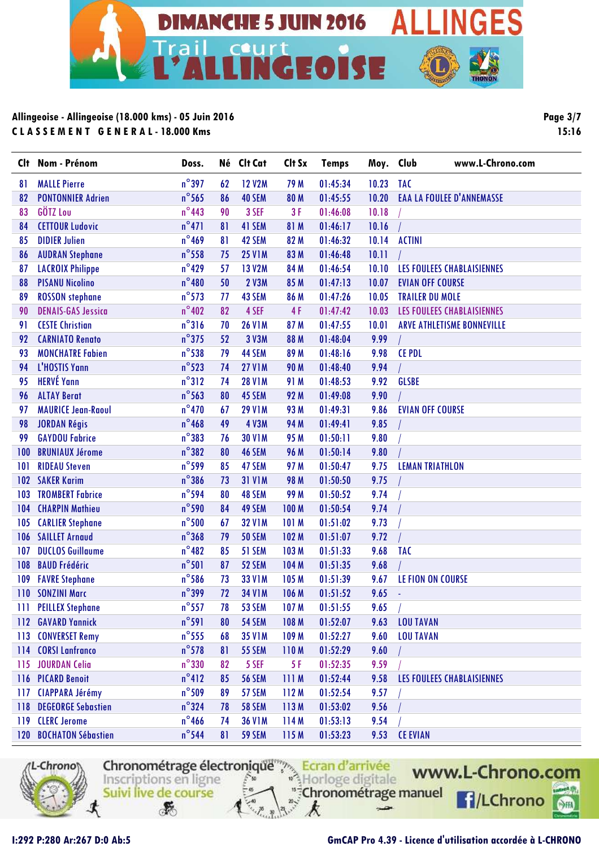

**Page 3/7 15:16**

| Clt | Nom - Prénom              | Doss.           |    | Né Clt Cat    | Clt Sx      | <b>Temps</b> | Moy.  | www.L-Chrono.com<br>Club          |
|-----|---------------------------|-----------------|----|---------------|-------------|--------------|-------|-----------------------------------|
| 81  | <b>MALLE Pierre</b>       | $n^{\circ}$ 397 | 62 | <b>12 V2M</b> | 79 M        | 01:45:34     | 10.23 | <b>TAC</b>                        |
| 82  | <b>PONTONNIER Adrien</b>  | $n^{\circ}$ 565 | 86 | 40 SEM        | 80 M        | 01:45:55     | 10.20 | <b>EAA LA FOULEE D'ANNEMASSE</b>  |
| 83  | GÖTZ Lou                  | $n^{\circ}$ 443 | 90 | 3 SEF         | 3F          | 01:46:08     | 10.18 |                                   |
| 84  | <b>CETTOUR Ludovic</b>    | $n^{\circ}471$  | 81 | 41 SEM        | 81 M        | 01:46:17     | 10.16 |                                   |
| 85  | <b>DIDIER Julien</b>      | $n^{\circ}$ 469 | 81 | 42 SEM        | 82 M        | 01:46:32     | 10.14 | <b>ACTINI</b>                     |
| 86  | <b>AUDRAN Stephane</b>    | $n^{\circ}$ 558 | 75 | <b>25 V1M</b> | 83 M        | 01:46:48     | 10.11 |                                   |
| 87  | <b>LACROIX Philippe</b>   | $n^{\circ}429$  | 57 | <b>13 V2M</b> | 84 M        | 01:46:54     | 10.10 | LES FOULEES CHABLAISIENNES        |
| 88  | <b>PISANU Nicolino</b>    | $n^{\circ}480$  | 50 | <b>2 V3M</b>  | 85 M        | 01:47:13     | 10.07 | <b>EVIAN OFF COURSE</b>           |
| 89  | <b>ROSSON</b> stephane    | $n^{\circ}573$  | 77 | 43 SEM        | 86 M        | 01:47:26     | 10.05 | <b>TRAILER DU MOLE</b>            |
| 90  | <b>DENAIS-GAS Jessica</b> | $n^{\circ}402$  | 82 | 4 SEF         | 4F          | 01:47:42     | 10.03 | LES FOULEES CHABLAISIENNES        |
| 91  | <b>CESTE Christian</b>    | $n^{\circ}316$  | 70 | <b>26 V1M</b> | 87 M        | 01:47:55     | 10.01 | <b>ARVE ATHLETISME BONNEVILLE</b> |
| 92  | <b>CARNIATO Renato</b>    | $n^{\circ}$ 375 | 52 | 3 V3M         | 88 M        | 01:48:04     | 9.99  |                                   |
| 93  | <b>MONCHATRE Fabien</b>   | $n^{\circ}$ 538 | 79 | 44 SEM        | 89 M        | 01:48:16     | 9.98  | <b>CE PDL</b>                     |
| 94  | L'HOSTIS Yann             | $n^{\circ}$ 523 | 74 | <b>27 V1M</b> | <b>90 M</b> | 01:48:40     | 9.94  |                                   |
| 95  | <b>HERVÉ Yann</b>         | $n^{\circ}312$  | 74 | <b>28 V1M</b> | 91 M        | 01:48:53     | 9.92  | <b>GLSBE</b>                      |
| 96  | <b>ALTAY Berat</b>        | $n^{\circ}$ 563 | 80 | 45 SEM        | 92 M        | 01:49:08     | 9.90  |                                   |
| 97  | <b>MAURICE Jean-Raoul</b> | $n^{\circ}470$  | 67 | <b>29 V1M</b> | 93 M        | 01:49:31     | 9.86  | <b>EVIAN OFF COURSE</b>           |
| 98  | <b>JORDAN Régis</b>       | $n^{\circ}$ 468 | 49 | <b>4 V3M</b>  | 94 M        | 01:49:41     | 9.85  |                                   |
| 99  | <b>GAYDOU Fabrice</b>     | $n^{\circ}383$  | 76 | <b>30 V1M</b> | 95 M        | 01:50:11     | 9.80  |                                   |
| 100 | <b>BRUNIAUX Jérome</b>    | $n^{\circ}382$  | 80 | 46 SEM        | <b>96 M</b> | 01:50:14     | 9.80  |                                   |
| 101 | <b>RIDEAU Steven</b>      | $n^{\circ}$ 599 | 85 | 47 SEM        | 97 M        | 01:50:47     | 9.75  | <b>LEMAN TRIATHLON</b>            |
| 102 | <b>SAKER Karim</b>        | $n^{\circ}$ 386 | 73 | <b>31 V1M</b> | <b>98 M</b> | 01:50:50     | 9.75  |                                   |
| 103 | <b>TROMBERT Fabrice</b>   | $n^{\circ}$ 594 | 80 | 48 SEM        | 99 M        | 01:50:52     | 9.74  |                                   |
| 104 | <b>CHARPIN Mathieu</b>    | $n^{\circ}$ 590 | 84 | 49 SEM        | 100 M       | 01:50:54     | 9.74  |                                   |
| 105 | <b>CARLIER Stephane</b>   | $n^{\circ}$ 500 | 67 | <b>32 V1M</b> | 101 M       | 01:51:02     | 9.73  |                                   |
| 106 | <b>SAILLET Arnaud</b>     | $n^{\circ}368$  | 79 | <b>50 SEM</b> | 102 M       | 01:51:07     | 9.72  |                                   |
| 107 | <b>DUCLOS Guillaume</b>   | $n^{\circ}482$  | 85 | 51 SEM        | 103 M       | 01:51:33     | 9.68  | <b>TAC</b>                        |
| 108 | <b>BAUD Frédéric</b>      | $n^{\circ}501$  | 87 | 52 SEM        | 104 M       | 01:51:35     | 9.68  |                                   |
| 109 | <b>FAVRE Stephane</b>     | $n^{\circ}$ 586 | 73 | <b>33 V1M</b> | 105 M       | 01:51:39     | 9.67  | LE FION ON COURSE                 |
| 110 | <b>SONZINI Marc</b>       | $n^{\circ}$ 399 | 72 | <b>34 V1M</b> | 106 M       | 01:51:52     | 9.65  | $\sim$                            |
|     | 111 PEILLEX Stephane      | $n^{\circ}$ 557 | 78 | 53 SEM        | 107 M       | 01:51:55     | 9.65  |                                   |
|     | 112 GAVARD Yannick        | $n^{\circ}$ 591 | 80 | <b>54 SEM</b> | 108 M       | 01:52:07     | 9.63  | <b>LOU TAVAN</b>                  |
|     | 113 CONVERSET Remy        | $n^{\circ}$ 555 | 68 | <b>35 V1M</b> | 109 M       | 01:52:27     | 9.60  | <b>LOU TAVAN</b>                  |
|     | 114 CORSI Lanfranco       | $n^{\circ}$ 578 | 81 | <b>55 SEM</b> | 110M        | 01:52:29     | 9.60  |                                   |
|     | 115 JOURDAN Celia         | $n^{\circ}$ 330 | 82 | 5 SEF         | 5 F         | 01:52:35     | 9.59  |                                   |
|     | 116 PICARD Benoit         | $n^{\circ}412$  | 85 | <b>56 SEM</b> | 111M        | 01:52:44     | 9.58  | LES FOULEES CHABLAISIENNES        |
|     | 117 CIAPPARA Jérémy       | $n^{\circ}$ 509 | 89 | 57 SEM        | 112M        | 01:52:54     | 9.57  |                                   |
|     | 118 DEGEORGE Sebastien    | $n^{\circ}$ 324 | 78 | <b>58 SEM</b> | 113M        | 01:53:02     | 9.56  |                                   |
|     | 119 CLERC Jerome          | $n^{\circ}$ 466 | 74 | <b>36 V1M</b> | 114M        | 01:53:13     | 9.54  |                                   |
|     | 120 BOCHATON Sébastien    | $n^{\circ}$ 544 | 81 | <b>59 SEM</b> | 115 M       | 01:53:23     | 9.53  | <b>CE EVIAN</b>                   |



Chronométrage électronique<sup>ment</sup> Ecran d'arrivée Suivi live de course

 $\mathcal{F}$ 

 $-2$ 

k

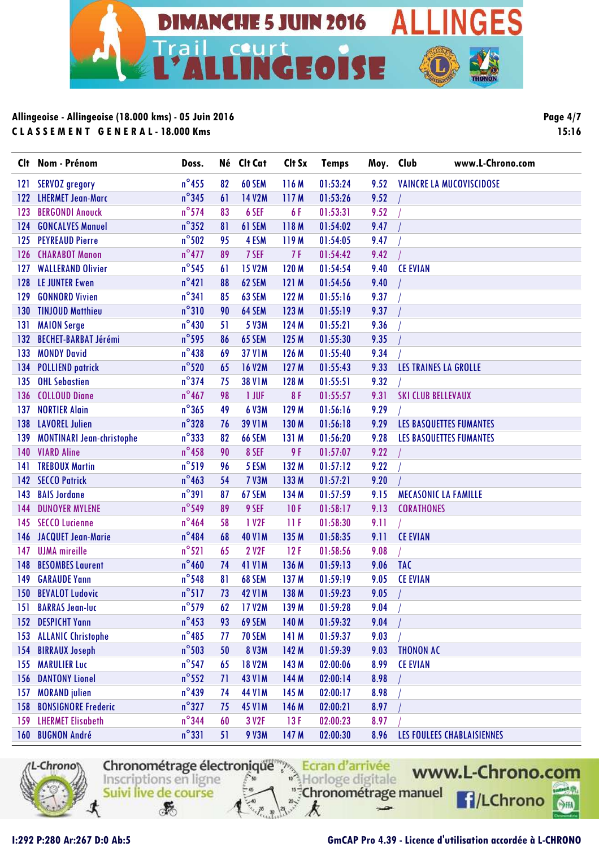

**Page 4/7 15:16**

| Clt | Nom - Prénom                     | Doss.           |    | Né Clt Cat        | Clt Sx | <b>Temps</b> | Moy. Club |                             | www.L-Chrono.com               |
|-----|----------------------------------|-----------------|----|-------------------|--------|--------------|-----------|-----------------------------|--------------------------------|
| 121 | <b>SERVOZ</b> gregory            | $n^{\circ}$ 455 | 82 | 60 SEM            | 116 M  | 01:53:24     | 9.52      |                             | VAINCRE LA MUCOVISCIDOSE       |
| 122 | <b>LHERMET Jean-Marc</b>         | $n^{\circ}345$  | 61 | <b>14 V2M</b>     | 117 M  | 01:53:26     | 9.52      |                             |                                |
| 123 | <b>BERGONDI Anouck</b>           | $n^{\circ}$ 574 | 83 | 6 SEF             | 6F     | 01:53:31     | 9.52      |                             |                                |
| 124 | <b>GONCALVES Manuel</b>          | $n^{\circ}352$  | 81 | 61 SEM            | 118 M  | 01:54:02     | 9.47      |                             |                                |
| 125 | <b>PEYREAUD Pierre</b>           | $n^{\circ}$ 502 | 95 | 4 ESM             | 119 M  | 01:54:05     | 9.47      |                             |                                |
| 126 | <b>CHARABOT Manon</b>            | $n^{\circ}477$  | 89 | 7 SEF             | 7F     | 01:54:42     | 9.42      |                             |                                |
| 127 | <b>WALLERAND Olivier</b>         | $n^{\circ}$ 545 | 61 | <b>15 V2M</b>     | 120 M  | 01:54:54     | 9.40      | <b>CE EVIAN</b>             |                                |
| 128 | <b>LE JUNTER Ewen</b>            | $n^{\circ}421$  | 88 | 62 SEM            | 121 M  | 01:54:56     | 9.40      |                             |                                |
| 129 | <b>GONNORD Vivien</b>            | $n^{\circ}341$  | 85 | 63 SEM            | 122 M  | 01:55:16     | 9.37      |                             |                                |
| 130 | <b>TINJOUD Matthieu</b>          | $n^{\circ}310$  | 90 | 64 SEM            | 123 M  | 01:55:19     | 9.37      |                             |                                |
| 131 | <b>MAION Serge</b>               | $n^{\circ}430$  | 51 | 5 V3M             | 124 M  | 01:55:21     | 9.36      |                             |                                |
| 132 | <b>BECHET-BARBAT Jérémi</b>      | $n^{\circ}$ 595 | 86 | 65 SEM            | 125 M  | 01:55:30     | 9.35      |                             |                                |
| 133 | <b>MONDY David</b>               | $n^{\circ}$ 438 | 69 | <b>37 V1M</b>     | 126 M  | 01:55:40     | 9.34      |                             |                                |
| 134 | <b>POLLIEND patrick</b>          | $n^{\circ}520$  | 65 | <b>16 V2M</b>     | 127 M  | 01:55:43     | 9.33      | LES TRAINES LA GROLLE       |                                |
| 135 | <b>OHL Sebastien</b>             | $n^{\circ}$ 374 | 75 | <b>38 V1M</b>     | 128 M  | 01:55:51     | 9.32      |                             |                                |
| 136 | <b>COLLOUD Diane</b>             | $n^{\circ}467$  | 98 | 1 JUF             | 8F     | 01:55:57     | 9.31      | <b>SKI CLUB BELLEVAUX</b>   |                                |
| 137 | <b>NORTIER Alain</b>             | $n^{\circ}365$  | 49 | 6 V3M             | 129 M  | 01:56:16     | 9.29      |                             |                                |
| 138 | <b>LAVOREL Julien</b>            | $n^{\circ}328$  | 76 | <b>39 V1M</b>     | 130 M  | 01:56:18     | 9.29      |                             | LES BASQUETTES FUMANTES        |
| 139 | <b>MONTINARI Jean-christophe</b> | $n^{\circ}$ 333 | 82 | 66 SEM            | 131 M  | 01:56:20     | 9.28      |                             | <b>LES BASQUETTES FUMANTES</b> |
|     | 140 VIARD Aline                  | $n^{\circ}$ 458 | 90 | 8 SEF             | 9 F    | 01:57:07     | 9.22      |                             |                                |
| 141 | <b>TREBOUX Martin</b>            | $n^{\circ}519$  | 96 | 5 ESM             | 132 M  | 01:57:12     | 9.22      |                             |                                |
| 142 | <b>SECCO Patrick</b>             | $n^{\circ}$ 463 | 54 | <b>7 V3M</b>      | 133 M  | 01:57:21     | 9.20      |                             |                                |
| 143 | <b>BAIS Jordane</b>              | $n^{\circ}391$  | 87 | 67 SEM            | 134 M  | 01:57:59     | 9.15      | <b>MECASONIC LA FAMILLE</b> |                                |
| 144 | <b>DUNOYER MYLENE</b>            | $n^{\circ}$ 549 | 89 | 9 SEF             | 10F    | 01:58:17     | 9.13      | <b>CORATHONES</b>           |                                |
| 145 | <b>SECCO Lucienne</b>            | $n^{\circ}$ 464 | 58 | 1 V <sub>2F</sub> | 11 F   | 01:58:30     | 9.11      |                             |                                |
| 146 | JACQUET Jean-Marie               | $n^{\circ}$ 484 | 68 | <b>40 V1M</b>     | 135 M  | 01:58:35     | 9.11      | <b>CE EVIAN</b>             |                                |
| 147 | <b>UJMA</b> mireille             | $n^{\circ}521$  | 65 | 2 V2F             | 12F    | 01:58:56     | 9.08      |                             |                                |
| 148 | <b>BESOMBES Laurent</b>          | $n^{\circ}$ 460 | 74 | <b>41 V1M</b>     | 136 M  | 01:59:13     | 9.06      | <b>TAC</b>                  |                                |
| 149 | <b>GARAUDE Yann</b>              | $n^{\circ}$ 548 | 81 | 68 SEM            | 137 M  | 01:59:19     | 9.05      | <b>CE EVIAN</b>             |                                |
| 150 | <b>BEVALOT Ludovic</b>           | $n^{\circ}517$  | 73 | <b>42 V1M</b>     | 138 M  | 01:59:23     | 9.05      |                             |                                |
|     | 151 BARRAS Jean-luc              | $n^{\circ}$ 579 | 62 | 17 V2M            | 139 M  | 01:59:28     | 9.04      |                             |                                |
| 152 | <b>DESPICHT Yann</b>             | $n^{\circ}$ 453 | 93 | 69 SEM            | 140 M  | 01:59:32     | 9.04      |                             |                                |
| 153 | <b>ALLANIC Christophe</b>        | $n^{\circ}$ 485 | 77 | <b>70 SEM</b>     | 141 M  | 01:59:37     | 9.03      |                             |                                |
| 154 | <b>BIRRAUX Joseph</b>            | $n^{\circ}$ 503 | 50 | <b>8 V3M</b>      | 142 M  | 01:59:39     | 9.03      | <b>THONON AC</b>            |                                |
| 155 | <b>MARULIER Luc</b>              | $n^{\circ}$ 547 | 65 | <b>18 V2M</b>     | 143 M  | 02:00:06     | 8.99      | <b>CE EVIAN</b>             |                                |
| 156 | <b>DANTONY Lionel</b>            | $n^{\circ}$ 552 | 71 | <b>43 V1M</b>     | 144 M  | 02:00:14     | 8.98      |                             |                                |
| 157 | <b>MORAND</b> julien             | $n^{\circ}439$  | 74 | <b>44 V1M</b>     | 145 M  | 02:00:17     | 8.98      |                             |                                |
| 158 | <b>BONSIGNORE Frederic</b>       | $n^{\circ}327$  | 75 | <b>45 V1M</b>     | 146 M  | 02:00:21     | 8.97      |                             |                                |
| 159 | <b>LHERMET Elisabeth</b>         | $n^{\circ}$ 344 | 60 | 3 V2F             | 13F    | 02:00:23     | 8.97      |                             |                                |
|     | 160 BUGNON André                 | $n^{\circ}331$  | 51 | <b>9 V3M</b>      | 147 M  | 02:00:30     | 8.96      |                             | LES FOULEES CHABLAISIENNES     |



Chronométrage électronique<sup>ment</sup> Ecran d'arrivée "<sup>#</sup>Chronométrage manuel Suivi live de course

k

 $-2$ 

 $\mathcal{F}$ 

www.L-Chrono.com **f**/LChrono  $rac{1}{\sqrt{2}}$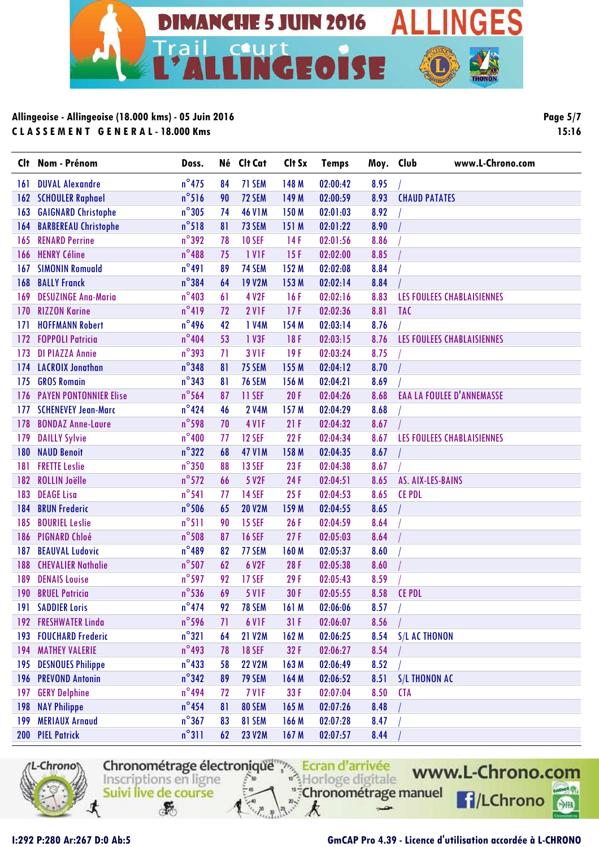

**Page 5/7 15:16**

| Clt | Nom - Prénom                  | Doss.           |    | Né Clt Cat    | Clt Sx           | <b>Temps</b> | Moy. Club | www.L-Chrono.com                  |
|-----|-------------------------------|-----------------|----|---------------|------------------|--------------|-----------|-----------------------------------|
| 161 | <b>DUVAL Alexandre</b>        | $n^{\circ}$ 475 | 84 | 71 SEM        | 148 M            | 02:00:42     | 8.95      |                                   |
| 162 | <b>SCHOULER Raphael</b>       | $n^{\circ}516$  | 90 | 72 SEM        | 149 M            | 02:00:59     | 8.93      | <b>CHAUD PATATES</b>              |
| 163 | <b>GAIGNARD Christophe</b>    | $n^{\circ}305$  | 74 | <b>46 V1M</b> | 150 M            | 02:01:03     | 8.92      |                                   |
| 164 | <b>BARBEREAU Christophe</b>   | $n^{\circ}518$  | 81 | 73 SEM        | 151 M            | 02:01:22     | 8.90      |                                   |
| 165 | <b>RENARD Perrine</b>         | $n^{\circ}392$  | 78 | <b>10 SEF</b> | 14F              | 02:01:56     | 8.86      |                                   |
| 166 | <b>HENRY Céline</b>           | $n^{\circ}488$  | 75 | 1 VIF         | 15F              | 02:02:00     | 8.85      |                                   |
| 167 | <b>SIMONIN Romuald</b>        | $n^{\circ}491$  | 89 | 74 SEM        | 152 M            | 02:02:08     | 8.84      |                                   |
| 168 | <b>BALLY Franck</b>           | $n^{\circ}$ 384 | 64 | <b>19 V2M</b> | 153 M            | 02:02:14     | 8.84      |                                   |
| 169 | <b>DESUZINGE Ana-Maria</b>    | $n^{\circ}403$  | 61 | 4 V2F         | 16F              | 02:02:16     | 8.83      | LES FOULEES CHABLAISIENNES        |
| 170 | <b>RIZZON Karine</b>          | $n^{\circ}419$  | 72 | 2 VIF         | 17F              | 02:02:36     | 8.81      | <b>TAC</b>                        |
| 171 | <b>HOFFMANN Robert</b>        | $n^{\circ}$ 496 | 42 | 1 V4M         | 154 M            | 02:03:14     | 8.76      |                                   |
| 172 | <b>FOPPOLI Patricia</b>       | $n^{\circ}404$  | 53 | 1 V3F         | 18F              | 02:03:15     | 8.76      | LES FOULEES CHABLAISIENNES        |
| 173 | <b>DI PIAZZA Annie</b>        | $n^{\circ}$ 393 | 71 | <b>3 V1F</b>  | 19F              | 02:03:24     | 8.75      |                                   |
| 174 | <b>LACROIX Jonathan</b>       | $n^{\circ}348$  | 81 | 75 SEM        | 155 M            | 02:04:12     | 8.70      |                                   |
| 175 | <b>GROS Romain</b>            | $n^{\circ}$ 343 | 81 | <b>76 SEM</b> | 156 M            | 02:04:21     | 8.69      |                                   |
| 176 | <b>PAYEN PONTONNIER Elise</b> | $n^{\circ}$ 564 | 87 | 11 SEF        | 20F              | 02:04:26     | 8.68      | <b>EAA LA FOULEE D'ANNEMASSE</b>  |
| 177 | <b>SCHENEVEY Jean-Marc</b>    | $n^{\circ}424$  | 46 | <b>2 V4M</b>  | 157 M            | 02:04:29     | 8.68      |                                   |
| 178 | <b>BONDAZ Anne-Laure</b>      | $n^{\circ}$ 598 | 70 | <b>4 V1F</b>  | 21F              | 02:04:32     | 8.67      |                                   |
| 179 | <b>DAILLY Sylvie</b>          | $n^{\circ}400$  | 77 | <b>12 SEF</b> | 22F              | 02:04:34     | 8.67      | <b>LES FOULEES CHABLAISIENNES</b> |
| 180 | <b>NAUD Benoit</b>            | $n^{\circ}322$  | 68 | <b>47 V1M</b> | 158 M            | 02:04:35     | 8.67      |                                   |
| 181 | <b>FRETTE Leslie</b>          | $n^{\circ}350$  | 88 | <b>13 SEF</b> | 23F              | 02:04:38     | 8.67      |                                   |
| 182 | <b>ROLLIN Joëlle</b>          | $n^{\circ}572$  | 66 | 5 V2F         | 24F              | 02:04:51     | 8.65      | AS. AIX-LES-BAINS                 |
| 183 | <b>DEAGE Lisa</b>             | $n^{\circ}541$  | 77 | <b>14 SEF</b> | 25F              | 02:04:53     | 8.65      | <b>CE PDL</b>                     |
| 184 | <b>BRUN Frederic</b>          | $n^{\circ}$ 506 | 65 | <b>20 V2M</b> | 159 M            | 02:04:55     | 8.65      |                                   |
| 185 | <b>BOURIEL Leslie</b>         | $n^{\circ}511$  | 90 | <b>15 SEF</b> | 26F              | 02:04:59     | 8.64      |                                   |
| 186 | <b>PIGNARD Chloé</b>          | $n^{\circ}$ 508 | 87 | <b>16 SEF</b> | 27F              | 02:05:03     | 8.64      |                                   |
| 187 | <b>BEAUVAL Ludovic</b>        | $n^{\circ}$ 489 | 82 | 77 SEM        | 160 M            | 02:05:37     | 8.60      |                                   |
| 188 | <b>CHEVALIER Nathalie</b>     | $n^{\circ}$ 507 | 62 | 6 V2F         | 28F              | 02:05:38     | 8.60      |                                   |
| 189 | <b>DENAIS Louise</b>          | $n^{\circ}$ 597 | 92 | <b>17 SEF</b> | 29F              | 02:05:43     | 8.59      |                                   |
| 190 | <b>BRUEL Patricia</b>         | $n^{\circ}$ 536 | 69 | <b>5 V1F</b>  | 30F              | 02:05:55     | 8.58      | <b>CE PDL</b>                     |
| 191 | <b>SADDIER Loris</b>          | $n^{\circ}474$  | 92 | <b>78 SEM</b> | 161M             | 02:06:06     | 8.57      |                                   |
| 192 | <b>FRESHWATER Linda</b>       | $n^{\circ}$ 596 | 71 | 6 VIF         | 31F              | 02:06:07     | 8.56      |                                   |
| 193 | <b>FOUCHARD Frederic</b>      | $n^{\circ}321$  | 64 | <b>21 V2M</b> | 162 M            | 02:06:25     | 8.54      | S/L AC THONON                     |
| 194 | <b>MATHEY VALERIE</b>         | $n^{\circ}$ 493 | 78 | <b>18 SEF</b> | 32F              | 02:06:27     | 8.54      |                                   |
| 195 | <b>DESNOUES Philippe</b>      | $n^{\circ}$ 433 | 58 | <b>22 V2M</b> | 163M             | 02:06:49     | 8.52      |                                   |
| 196 | <b>PREVOND Antonin</b>        | $n^{\circ}$ 342 | 89 | <b>79 SEM</b> | 164M             | 02:06:52     | 8.51      | <b>S/L THONON AC</b>              |
| 197 | <b>GERY Delphine</b>          | $n^{\circ}$ 494 | 72 | 7 VIF         | 33 F             | 02:07:04     | 8.50      | <b>CTA</b>                        |
| 198 | <b>NAY Philippe</b>           | $n^{\circ}$ 454 | 81 | 80 SEM        | 165 M            | 02:07:26     | 8.48      |                                   |
| 199 | <b>MERIAUX Arnaud</b>         | $n^{\circ}367$  | 83 | 81 SEM        | 166 M            | 02:07:28     | 8.47      |                                   |
|     | 200 PIEL Patrick              | $n^{\circ}311$  | 62 | <b>23 V2M</b> | 167 <sub>M</sub> | 02:07:57     | 8.44      |                                   |



Chronométrage électronique<sup>ment</sup> Ecran d'arrivée "<sup>#</sup>Chronométrage manuel Suivi live de course  $\mathcal{F}$ k



 $-2$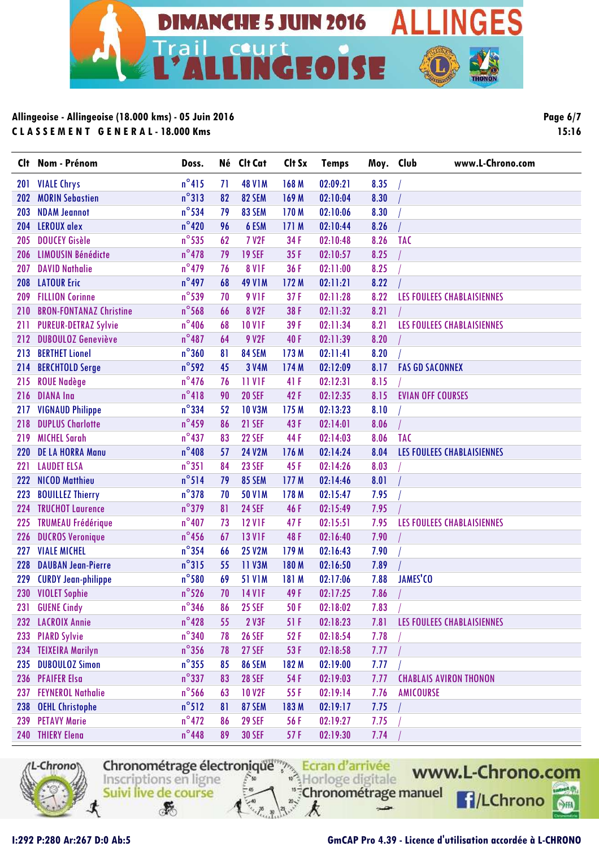

| Page 6/7 |       |
|----------|-------|
|          | 15:16 |

| Clt        | Nom - Prénom                   | Doss.           |    | Né Clt Cat        | Clt Sx | <b>Temps</b> | Moy. Club | www.L-Chrono.com              |
|------------|--------------------------------|-----------------|----|-------------------|--------|--------------|-----------|-------------------------------|
| 201        | <b>VIALE Chrys</b>             | $n^{\circ}415$  | 71 | <b>48 V1M</b>     | 168 M  | 02:09:21     | 8.35      |                               |
| 202        | <b>MORIN Sebastien</b>         | $n^{\circ}313$  | 82 | 82 SEM            | 169 M  | 02:10:04     | 8.30      |                               |
| 203        | <b>NDAM Jeannot</b>            | $n^{\circ}$ 534 | 79 | 83 SEM            | 170 M  | 02:10:06     | 8.30      |                               |
| 204        | <b>LEROUX</b> alex             | $n^{\circ}420$  | 96 | 6 ESM             | 171 M  | 02:10:44     | 8.26      |                               |
| 205        | <b>DOUCEY Gisèle</b>           | $n^{\circ}$ 535 | 62 | <b>7 V2F</b>      | 34 F   | 02:10:48     | 8.26      | <b>TAC</b>                    |
| 206        | <b>LIMOUSIN Bénédicte</b>      | $n^{\circ}478$  | 79 | <b>19 SEF</b>     | 35F    | 02:10:57     | 8.25      |                               |
| 207        | <b>DAVID Nathalie</b>          | $n^{\circ}$ 479 | 76 | <b>8 V1F</b>      | 36 F   | 02:11:00     | 8.25      |                               |
| 208        | <b>LATOUR Eric</b>             | $n^{\circ}$ 497 | 68 | <b>49 V1M</b>     | 172 M  | 02:11:21     | 8.22      |                               |
| 209        | <b>FILLION Corinne</b>         | $n^{\circ}$ 539 | 70 | <b>9 V1F</b>      | 37 F   | 02:11:28     | 8.22      | LES FOULEES CHABLAISIENNES    |
| 210        | <b>BRON-FONTANAZ Christine</b> | $n^{\circ}$ 568 | 66 | 8 V <sub>2F</sub> | 38 F   | 02:11:32     | 8.21      |                               |
| 211        | <b>PUREUR-DETRAZ Sylvie</b>    | $n^{\circ}$ 406 | 68 | <b>10 V1F</b>     | 39 F   | 02:11:34     | 8.21      | LES FOULEES CHABLAISIENNES    |
| 212        | <b>DUBOULOZ Geneviève</b>      | $n^{\circ}487$  | 64 | 9 V2F             | 40F    | 02:11:39     | 8.20      |                               |
| 213        | <b>BERTHET Lionel</b>          | $n^{\circ}360$  | 81 | 84 SEM            | 173 M  | 02:11:41     | 8.20      |                               |
| 214        | <b>BERCHTOLD Serge</b>         | $n^{\circ}$ 592 | 45 | 3 V4M             | 174 M  | 02:12:09     | 8.17      | <b>FAS GD SACONNEX</b>        |
| 215        | <b>ROUE Nadège</b>             | $n^{\circ}$ 476 | 76 | 11 VIF            | 41 F   | 02:12:31     | 8.15      |                               |
| 216        | <b>DIANA Ina</b>               | $n^{\circ}418$  | 90 | <b>20 SEF</b>     | 42 F   | 02:12:35     | 8.15      | <b>EVIAN OFF COURSES</b>      |
| 217        | <b>VIGNAUD Philippe</b>        | $n^{\circ}$ 334 | 52 | <b>10 V3M</b>     | 175 M  | 02:13:23     | 8.10      |                               |
| 218        | <b>DUPLUS Charlotte</b>        | $n^{\circ}$ 459 | 86 | <b>21 SEF</b>     | 43F    | 02:14:01     | 8.06      |                               |
| 219        | <b>MICHEL Sarah</b>            | $n^{\circ}437$  | 83 | <b>22 SEF</b>     | 44 F   | 02:14:03     | 8.06      | <b>TAC</b>                    |
| <b>220</b> | <b>DE LA HORRA Manu</b>        | $n^{\circ}408$  | 57 | <b>24 V2M</b>     | 176 M  | 02:14:24     | 8.04      | LES FOULEES CHABLAISIENNES    |
| 221        | <b>LAUDET ELSA</b>             | $n^{\circ}351$  | 84 | <b>23 SEF</b>     | 45 F   | 02:14:26     | 8.03      |                               |
| 222        | <b>NICOD Matthieu</b>          | $n^{\circ}514$  | 79 | 85 SEM            | 177 M  | 02:14:46     | 8.01      |                               |
| 223        | <b>BOUILLEZ Thierry</b>        | $n^{\circ}378$  | 70 | <b>50 V1M</b>     | 178 M  | 02:15:47     | 7.95      |                               |
| 224        | <b>TRUCHOT Laurence</b>        | $n^{\circ}$ 379 | 81 | <b>24 SEF</b>     | 46F    | 02:15:49     | 7.95      |                               |
| 225        | <b>TRUMEAU Frédérique</b>      | $n^{\circ}407$  | 73 | <b>12 V1F</b>     | 47F    | 02:15:51     | 7.95      | LES FOULEES CHABLAISIENNES    |
| 226        | <b>DUCROS Veronique</b>        | $n^{\circ}$ 456 | 67 | <b>13 V1F</b>     | 48 F   | 02:16:40     | 7.90      |                               |
| 227        | <b>VIALE MICHEL</b>            | $n^{\circ}$ 354 | 66 | <b>25 V2M</b>     | 179 M  | 02:16:43     | 7.90      |                               |
| 228        | <b>DAUBAN Jean-Pierre</b>      | $n^{\circ}315$  | 55 | 11 V3M            | 180 M  | 02:16:50     | 7.89      |                               |
| 229        | <b>CURDY Jean-philippe</b>     | $n^{\circ}$ 580 | 69 | <b>51 V1M</b>     | 181 M  | 02:17:06     | 7.88      | JAMES'CO                      |
| 230        | <b>VIOLET Sophie</b>           | $n^{\circ}$ 526 | 70 | <b>14 V1F</b>     | 49F    | 02:17:25     | 7.86      |                               |
|            | 231 GUENE Cindy                | $n^{\circ}$ 346 | 86 | <b>25 SEF</b>     | 50 F   | 02:18:02     | 7.83      |                               |
|            | 232 LACROIX Annie              | $n^{\circ}428$  | 55 | 2 V3F             | 51 F   | 02:18:23     | 7.81      | LES FOULEES CHABLAISIENNES    |
| 233        | <b>PIARD Sylvie</b>            | $n^{\circ}$ 340 | 78 | <b>26 SEF</b>     | 52 F   | 02:18:54     | 7.78      |                               |
|            | 234 TEIXEIRA Marilyn           | $n^{\circ}356$  | 78 | <b>27 SEF</b>     | 53 F   | 02:18:58     | 7.77      |                               |
|            | 235 DUBOULOZ Simon             | $n^{\circ}$ 355 | 85 | 86 SEM            | 182 M  | 02:19:00     | 7.77      |                               |
|            | 236 PFAIFER Elsa               | $n^{\circ}$ 337 | 83 | <b>28 SEF</b>     | 54 F   | 02:19:03     | 7.77      | <b>CHABLAIS AVIRON THONON</b> |
| 237        | <b>FEYNEROL Nathalie</b>       | $n^{\circ}$ 566 | 63 | <b>10 V2F</b>     | 55 F   | 02:19:14     | 7.76      | AMICOURSE                     |
| 238        | <b>OEHL Christophe</b>         | $n^{\circ}512$  | 81 | 87 SEM            | 183 M  | 02:19:17     | 7.75      |                               |
| 239        | <b>PETAVY Marie</b>            | $n^{\circ}$ 472 | 86 | <b>29 SEF</b>     | 56 F   | 02:19:27     | 7.75      |                               |
|            | 240 THIERY Elena               | $n^{\circ}$ 448 | 89 | <b>30 SEF</b>     | 57 F   | 02:19:30     | 7.74      |                               |



Chronométrage électronique<br>
Inscriptions en ligne<br>
Subjection de course "<sup>#</sup>Chronométrage manuel Suivi live de course

k

 $\rightarrow$ 

www.L-Chrono.com **f**/LChrono  $60$ 

 $\mathcal{F}$